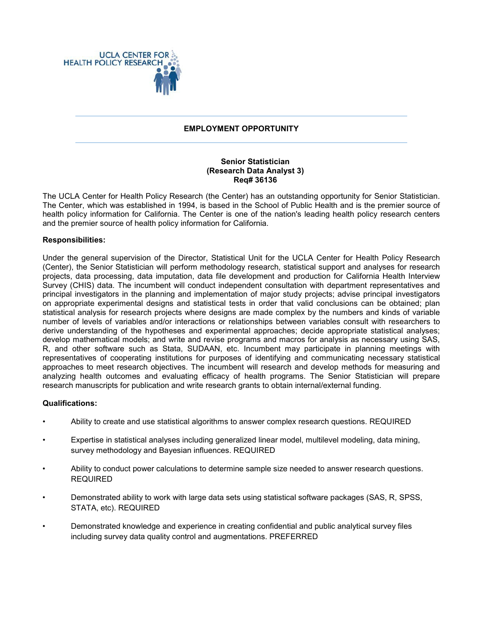

### **EMPLOYMENT OPPORTUNITY**

#### **Senior Statistician (Research Data Analyst 3) Req# 36136**

The UCLA Center for Health Policy Research (the Center) has an outstanding opportunity for Senior Statistician. The Center, which was established in 1994, is based in the School of Public Health and is the premier source of health policy information for California. The Center is one of the nation's leading health policy research centers and the premier source of health policy information for California.

### **Responsibilities:**

Under the general supervision of the Director, Statistical Unit for the UCLA Center for Health Policy Research (Center), the Senior Statistician will perform methodology research, statistical support and analyses for research projects, data processing, data imputation, data file development and production for California Health Interview Survey (CHIS) data. The incumbent will conduct independent consultation with department representatives and principal investigators in the planning and implementation of major study projects; advise principal investigators on appropriate experimental designs and statistical tests in order that valid conclusions can be obtained; plan statistical analysis for research projects where designs are made complex by the numbers and kinds of variable number of levels of variables and/or interactions or relationships between variables consult with researchers to derive understanding of the hypotheses and experimental approaches; decide appropriate statistical analyses; develop mathematical models; and write and revise programs and macros for analysis as necessary using SAS, R, and other software such as Stata, SUDAAN, etc. Incumbent may participate in planning meetings with representatives of cooperating institutions for purposes of identifying and communicating necessary statistical approaches to meet research objectives. The incumbent will research and develop methods for measuring and analyzing health outcomes and evaluating efficacy of health programs. The Senior Statistician will prepare research manuscripts for publication and write research grants to obtain internal/external funding.

# **Qualifications:**

- Ability to create and use statistical algorithms to answer complex research questions. REQUIRED
- Expertise in statistical analyses including generalized linear model, multilevel modeling, data mining, survey methodology and Bayesian influences. REQUIRED
- Ability to conduct power calculations to determine sample size needed to answer research questions. REQUIRED
- Demonstrated ability to work with large data sets using statistical software packages (SAS, R, SPSS, STATA, etc). REQUIRED
- Demonstrated knowledge and experience in creating confidential and public analytical survey files including survey data quality control and augmentations. PREFERRED